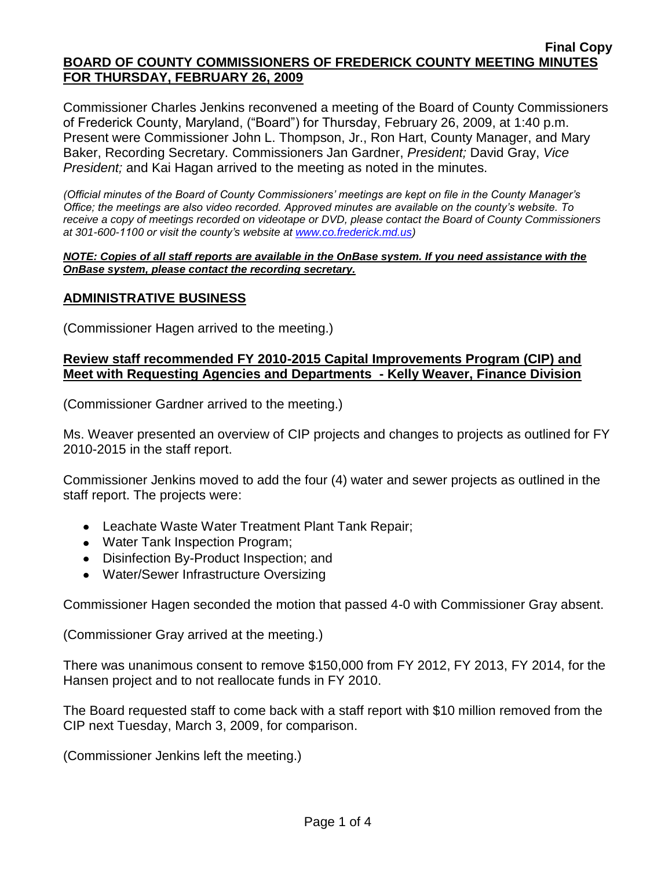Commissioner Charles Jenkins reconvened a meeting of the Board of County Commissioners of Frederick County, Maryland, ("Board") for Thursday, February 26, 2009, at 1:40 p.m. Present were Commissioner John L. Thompson, Jr., Ron Hart, County Manager, and Mary Baker, Recording Secretary. Commissioners Jan Gardner, *President;* David Gray, *Vice President;* and Kai Hagan arrived to the meeting as noted in the minutes.

*(Official minutes of the Board of County Commissioners' meetings are kept on file in the County Manager's Office; the meetings are also video recorded. Approved minutes are available on the county's website. To receive a copy of meetings recorded on videotape or DVD, please contact the Board of County Commissioners at 301-600-1100 or visit the county's website at [www.co.frederick.md.us\)](http://www.co.frederick.md.us/)*

#### *NOTE: Copies of all staff reports are available in the OnBase system. If you need assistance with the OnBase system, please contact the recording secretary.*

# **ADMINISTRATIVE BUSINESS**

(Commissioner Hagen arrived to the meeting.)

### **Review staff recommended FY 2010-2015 Capital Improvements Program (CIP) and Meet with Requesting Agencies and Departments - Kelly Weaver, Finance Division**

(Commissioner Gardner arrived to the meeting.)

Ms. Weaver presented an overview of CIP projects and changes to projects as outlined for FY 2010-2015 in the staff report.

Commissioner Jenkins moved to add the four (4) water and sewer projects as outlined in the staff report. The projects were:

- Leachate Waste Water Treatment Plant Tank Repair;
- Water Tank Inspection Program;
- Disinfection By-Product Inspection; and
- Water/Sewer Infrastructure Oversizing

Commissioner Hagen seconded the motion that passed 4-0 with Commissioner Gray absent.

(Commissioner Gray arrived at the meeting.)

There was unanimous consent to remove \$150,000 from FY 2012, FY 2013, FY 2014, for the Hansen project and to not reallocate funds in FY 2010.

The Board requested staff to come back with a staff report with \$10 million removed from the CIP next Tuesday, March 3, 2009, for comparison.

(Commissioner Jenkins left the meeting.)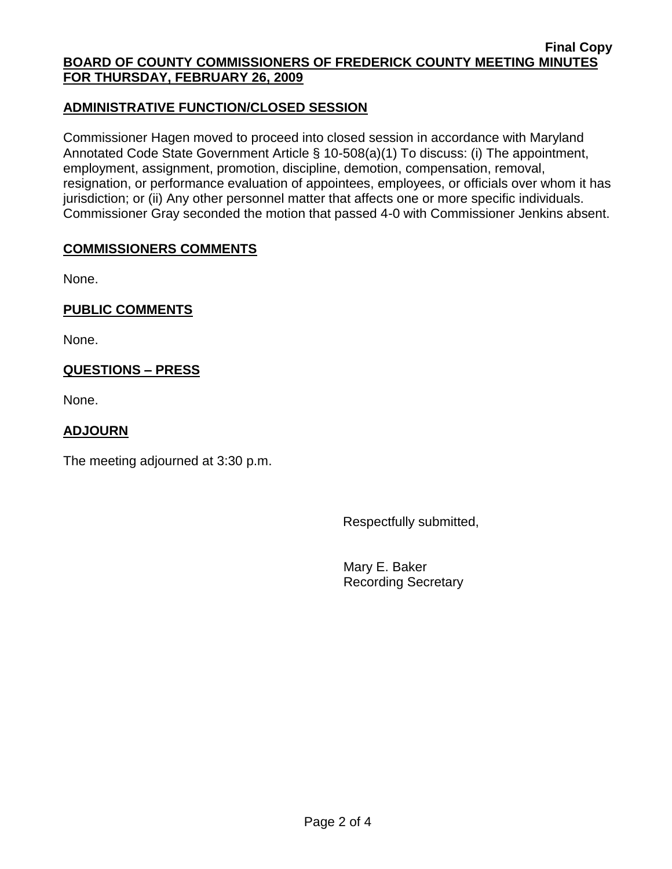# **ADMINISTRATIVE FUNCTION/CLOSED SESSION**

Commissioner Hagen moved to proceed into closed session in accordance with Maryland Annotated Code State Government Article § 10-508(a)(1) To discuss: (i) The appointment, employment, assignment, promotion, discipline, demotion, compensation, removal, resignation, or performance evaluation of appointees, employees, or officials over whom it has jurisdiction; or (ii) Any other personnel matter that affects one or more specific individuals. Commissioner Gray seconded the motion that passed 4-0 with Commissioner Jenkins absent.

# **COMMISSIONERS COMMENTS**

None.

**PUBLIC COMMENTS** 

None.

# **QUESTIONS – PRESS**

None.

# **ADJOURN**

The meeting adjourned at 3:30 p.m.

Respectfully submitted,

Mary E. Baker Recording Secretary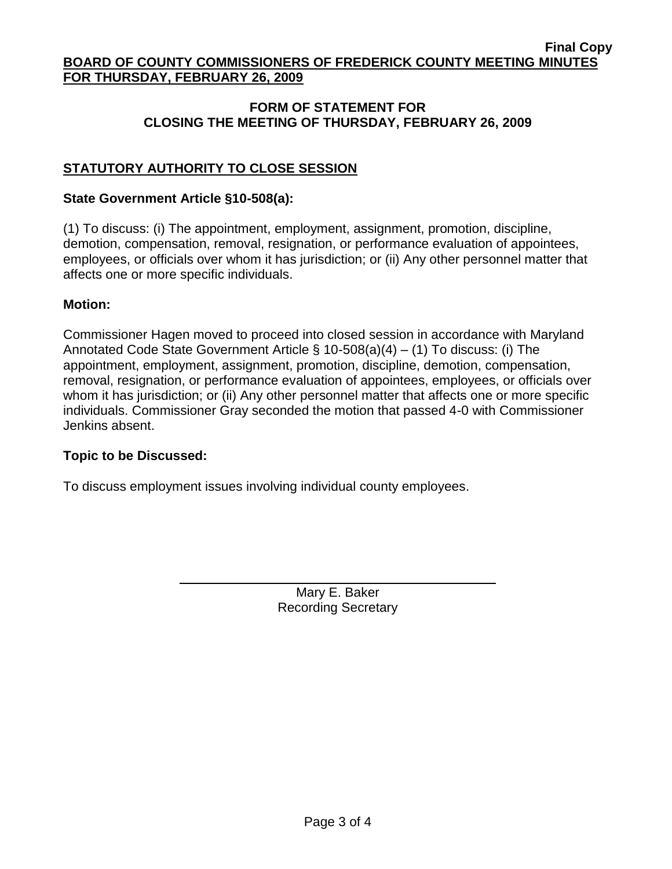## **FORM OF STATEMENT FOR CLOSING THE MEETING OF THURSDAY, FEBRUARY 26, 2009**

# **STATUTORY AUTHORITY TO CLOSE SESSION**

### **State Government Article §10-508(a):**

(1) To discuss: (i) The appointment, employment, assignment, promotion, discipline, demotion, compensation, removal, resignation, or performance evaluation of appointees, employees, or officials over whom it has jurisdiction; or (ii) Any other personnel matter that affects one or more specific individuals.

### **Motion:**

Commissioner Hagen moved to proceed into closed session in accordance with Maryland Annotated Code State Government Article § 10-508(a)(4) – (1) To discuss: (i) The appointment, employment, assignment, promotion, discipline, demotion, compensation, removal, resignation, or performance evaluation of appointees, employees, or officials over whom it has jurisdiction; or (ii) Any other personnel matter that affects one or more specific individuals. Commissioner Gray seconded the motion that passed 4-0 with Commissioner Jenkins absent.

## **Topic to be Discussed:**

To discuss employment issues involving individual county employees.

Mary E. Baker Recording Secretary